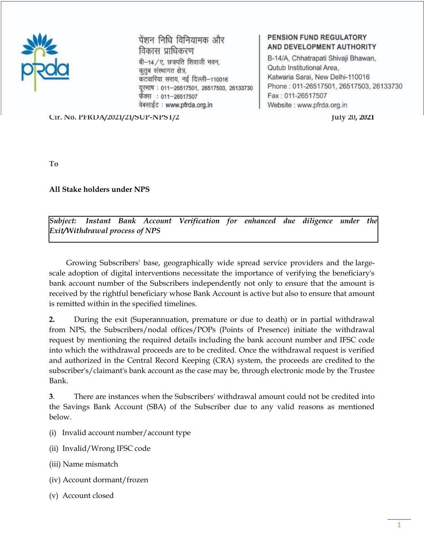

पेंशन निधि विनियामक और विकास प्राधिकरण बी-14/ए, छत्रपति शिवाजी भवन, कुतुब संस्थागत क्षेत्र, कटवारिया सराय, नई दिल्ली-110016 दूरमाष: 011-26517501, 26517503, 26133730 फैक्स : 011-26517507 वेबसाईट: www.pfrda.org.in

## **PENSION FUND REGULATORY** AND DEVELOPMENT AUTHORITY

B-14/A, Chhatrapati Shivaji Bhawan, Qutub Institutional Area, Katwaria Sarai, New Delhi-110016 Phone: 011-26517501, 26517503, 26133730 Fax: 011-26517507 Website: www.pfrda.org.in

**Cir. No. PFRDA/2021/21/SUP-NPST/2 July 20, 2021**

**To** 

**All Stake holders under NPS**

*Subject: Instant Bank Account Verification for enhanced due diligence under the Exit/Withdrawal process of NPS*

 Growing Subscribers' base, geographically wide spread service providers and the largescale adoption of digital interventions necessitate the importance of verifying the beneficiary's bank account number of the Subscribers independently not only to ensure that the amount is received by the rightful beneficiary whose Bank Account is active but also to ensure that amount is remitted within in the specified timelines.

**2.** During the exit (Superannuation, premature or due to death) or in partial withdrawal from NPS, the Subscribers/nodal offices/POPs (Points of Presence) initiate the withdrawal request by mentioning the required details including the bank account number and IFSC code into which the withdrawal proceeds are to be credited. Once the withdrawal request is verified and authorized in the Central Record Keeping (CRA) system, the proceeds are credited to the subscriber's/claimant's bank account as the case may be, through electronic mode by the Trustee Bank.

**3**. There are instances when the Subscribers' withdrawal amount could not be credited into the Savings Bank Account (SBA) of the Subscriber due to any valid reasons as mentioned below.

- (i) Invalid account number/account type
- (ii) Invalid/Wrong IFSC code
- (iii) Name mismatch
- (iv) Account dormant/frozen
- (v) Account closed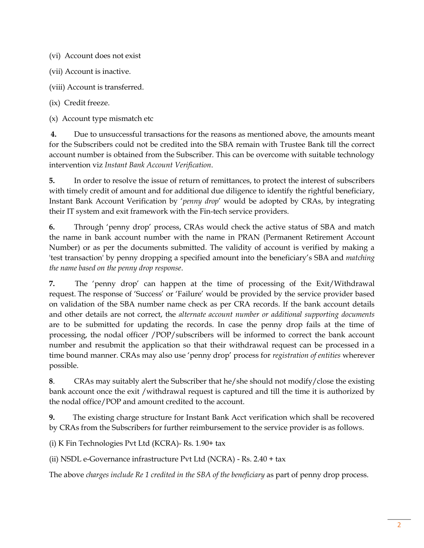(vi) Account does not exist

(vii) Account is inactive.

(viii) Account is transferred.

(ix) Credit freeze.

(x) Account type mismatch etc

**4.** Due to unsuccessful transactions for the reasons as mentioned above, the amounts meant for the Subscribers could not be credited into the SBA remain with Trustee Bank till the correct account number is obtained from the Subscriber. This can be overcome with suitable technology intervention viz *Instant Bank Account Verification*.

**5.** In order to resolve the issue of return of remittances, to protect the interest of subscribers with timely credit of amount and for additional due diligence to identify the rightful beneficiary, Instant Bank Account Verification by '*penny drop*' would be adopted by CRAs, by integrating their IT system and exit framework with the Fin-tech service providers.

**6.** Through 'penny drop' process, CRAs would check the active status of SBA and match the name in bank account number with the name in PRAN (Permanent Retirement Account Number) or as per the documents submitted. The validity of account is verified by making a 'test transaction' by penny dropping a specified amount into the beneficiary's SBA and *matching the name based on the penny drop response*.

**7.** The 'penny drop' can happen at the time of processing of the Exit/Withdrawal request. The response of 'Success' or 'Failure' would be provided by the service provider based on validation of the SBA number name check as per CRA records. If the bank account details and other details are not correct, the *alternate account number or additional supporting documents* are to be submitted for updating the records. In case the penny drop fails at the time of processing, the nodal officer /POP/subscribers will be informed to correct the bank account number and resubmit the application so that their withdrawal request can be processed in a time bound manner. CRAs may also use 'penny drop' process for *registration of entities* wherever possible.

**8**. CRAs may suitably alert the Subscriber that he/she should not modify/close the existing bank account once the exit /withdrawal request is captured and till the time it is authorized by the nodal office/POP and amount credited to the account.

**9.** The existing charge structure for Instant Bank Acct verification which shall be recovered by CRAs from the Subscribers for further reimbursement to the service provider is as follows.

(i) K Fin Technologies Pvt Ltd (KCRA)- Rs. 1.90+ tax

(ii) NSDL e-Governance infrastructure Pvt Ltd (NCRA) - Rs. 2.40 + tax

The above *charges include Re 1 credited in the SBA of the beneficiary* as part of penny drop process.